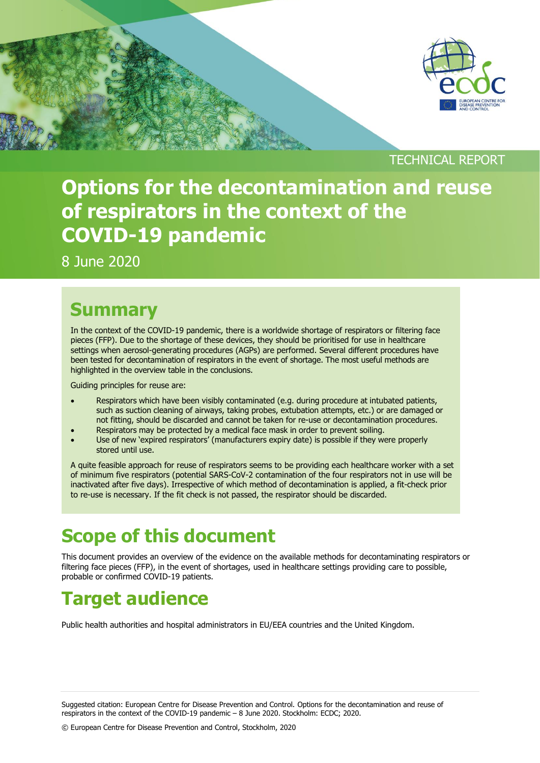

TECHNICAL REPORT

# **Options for the decontamination and reuse of respirators in the context of the COVID-19 pandemic**

8 June 2020

### **Summary**

In the context of the COVID-19 pandemic, there is a worldwide shortage of respirators or filtering face pieces (FFP). Due to the shortage of these devices, they should be prioritised for use in healthcare settings when aerosol-generating procedures (AGPs) are performed. Several different procedures have been tested for decontamination of respirators in the event of shortage. The most useful methods are highlighted in the overview table in the conclusions.

Guiding principles for reuse are:

- Respirators which have been visibly contaminated (e.g. during procedure at intubated patients, such as suction cleaning of airways, taking probes, extubation attempts, etc.) or are damaged or not fitting, should be discarded and cannot be taken for re-use or decontamination procedures.
- Respirators may be protected by a medical face mask in order to prevent soiling.
- Use of new 'expired respirators' (manufacturers expiry date) is possible if they were properly stored until use.

A quite feasible approach for reuse of respirators seems to be providing each healthcare worker with a set of minimum five respirators (potential SARS-CoV-2 contamination of the four respirators not in use will be inactivated after five days). Irrespective of which method of decontamination is applied, a fit-check prior to re-use is necessary. If the fit check is not passed, the respirator should be discarded.

# **Scope of this document**

This document provides an overview of the evidence on the available methods for decontaminating respirators or filtering face pieces (FFP), in the event of shortages, used in healthcare settings providing care to possible, probable or confirmed COVID-19 patients.

# **Target audience**

Public health authorities and hospital administrators in EU/EEA countries and the United Kingdom.

Suggested citation: European Centre for Disease Prevention and Control. Options for the decontamination and reuse of respirators in the context of the COVID-19 pandemic – 8 June 2020. Stockholm: ECDC; 2020.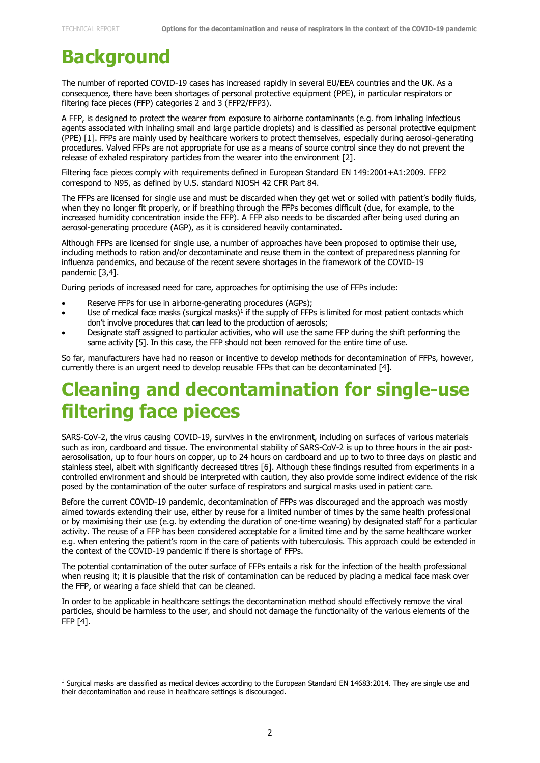## **Background**

The number of reported COVID-19 cases has increased rapidly in several EU/EEA countries and the UK. As a consequence, there have been shortages of personal protective equipment (PPE), in particular respirators or filtering face pieces (FFP) categories 2 and 3 (FFP2/FFP3).

A FFP, is designed to protect the wearer from exposure to airborne contaminants (e.g. from inhaling infectious agents associated with inhaling small and large particle droplets) and is classified as personal protective equipment (PPE) [1]. FFPs are mainly used by healthcare workers to protect themselves, especially during aerosol-generating procedures. Valved FFPs are not appropriate for use as a means of source control since they do not prevent the release of exhaled respiratory particles from the wearer into the environment [2].

Filtering face pieces comply with requirements defined in European Standard EN 149:2001+A1:2009. FFP2 correspond to N95, as defined by U.S. standard NIOSH 42 CFR Part 84.

The FFPs are licensed for single use and must be discarded when they get wet or soiled with patient's bodily fluids, when they no longer fit properly, or if breathing through the FFPs becomes difficult (due, for example, to the increased humidity concentration inside the FFP). A FFP also needs to be discarded after being used during an aerosol-generating procedure (AGP), as it is considered heavily contaminated.

Although FFPs are licensed for single use, a number of approaches have been proposed to optimise their use, including methods to ration and/or decontaminate and reuse them in the context of preparedness planning for influenza pandemics, and because of the recent severe shortages in the framework of the COVID-19 pandemic [3,4].

During periods of increased need for care, approaches for optimising the use of FFPs include:

- Reserve FFPs for use in airborne-generating procedures (AGPs);
- $\bullet$  Use of medical face masks (surgical masks)<sup>1</sup> if the supply of FFPs is limited for most patient contacts which don't involve procedures that can lead to the production of aerosols;
- Designate staff assigned to particular activities, who will use the same FFP during the shift performing the same activity [5]. In this case, the FFP should not been removed for the entire time of use.

So far, manufacturers have had no reason or incentive to develop methods for decontamination of FFPs, however, currently there is an urgent need to develop reusable FFPs that can be decontaminated [4].

### **Cleaning and decontamination for single-use filtering face pieces**

SARS-CoV-2, the virus causing COVID-19, survives in the environment, including on surfaces of various materials such as iron, cardboard and tissue. The environmental stability of SARS-CoV-2 is up to three hours in the air postaerosolisation, up to four hours on copper, up to 24 hours on cardboard and up to two to three days on plastic and stainless steel, albeit with significantly decreased titres [6]. Although these findings resulted from experiments in a controlled environment and should be interpreted with caution, they also provide some indirect evidence of the risk posed by the contamination of the outer surface of respirators and surgical masks used in patient care.

Before the current COVID-19 pandemic, decontamination of FFPs was discouraged and the approach was mostly aimed towards extending their use, either by reuse for a limited number of times by the same health professional or by maximising their use (e.g. by extending the duration of one-time wearing) by designated staff for a particular activity. The reuse of a FFP has been considered acceptable for a limited time and by the same healthcare worker e.g. when entering the patient's room in the care of patients with tuberculosis. This approach could be extended in the context of the COVID-19 pandemic if there is shortage of FFPs.

The potential contamination of the outer surface of FFPs entails a risk for the infection of the health professional when reusing it; it is plausible that the risk of contamination can be reduced by placing a medical face mask over the FFP, or wearing a face shield that can be cleaned.

In order to be applicable in healthcare settings the decontamination method should effectively remove the viral particles, should be harmless to the user, and should not damage the functionality of the various elements of the FFP [4].

<sup>1</sup> Surgical masks are classified as medical devices according to the European Standard EN 14683:2014. They are single use and their decontamination and reuse in healthcare settings is discouraged.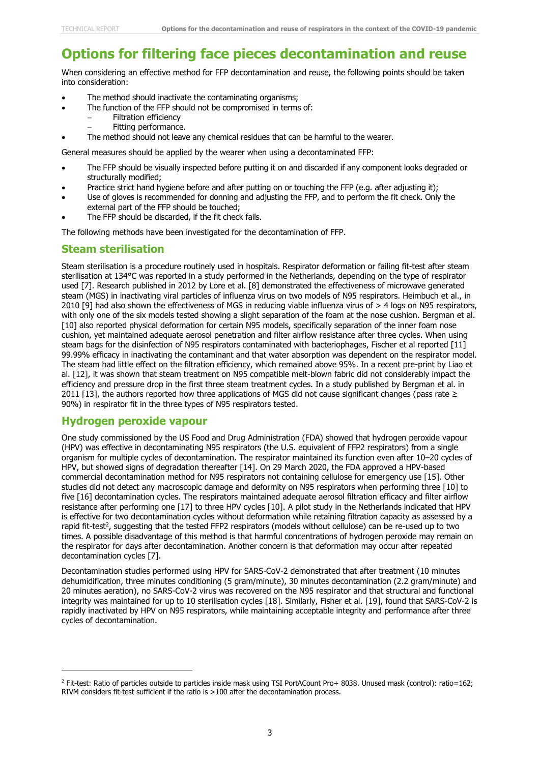### **Options for filtering face pieces decontamination and reuse**

When considering an effective method for FFP decontamination and reuse, the following points should be taken into consideration:

- The method should inactivate the contaminating organisms;
	- The function of the FFP should not be compromised in terms of:
		- Filtration efficiency
			- Fitting performance.
- The method should not leave any chemical residues that can be harmful to the wearer.

General measures should be applied by the wearer when using a decontaminated FFP:

- The FFP should be visually inspected before putting it on and discarded if any component looks degraded or structurally modified;
- Practice strict hand hygiene before and after putting on or touching the FFP (e.g. after adjusting it);
- Use of gloves is recommended for donning and adjusting the FFP, and to perform the fit check. Only the external part of the FFP should be touched;
- The FFP should be discarded, if the fit check fails.

The following methods have been investigated for the decontamination of FFP.

#### **Steam sterilisation**

Steam sterilisation is a procedure routinely used in hospitals. Respirator deformation or failing fit-test after steam sterilisation at 134°C was reported in a study performed in the Netherlands, depending on the type of respirator used [7]. Research published in 2012 by Lore et al. [8] demonstrated the effectiveness of microwave generated steam (MGS) in inactivating viral particles of influenza virus on two models of N95 respirators. Heimbuch et al., in 2010 [9] had also shown the effectiveness of MGS in reducing viable influenza virus of > 4 logs on N95 respirators, with only one of the six models tested showing a slight separation of the foam at the nose cushion. Bergman et al. [10] also reported physical deformation for certain N95 models, specifically separation of the inner foam nose cushion, yet maintained adequate aerosol penetration and filter airflow resistance after three cycles. When using steam bags for the disinfection of N95 respirators contaminated with bacteriophages, Fischer et al reported [11] 99.99% efficacy in inactivating the contaminant and that water absorption was dependent on the respirator model. The steam had little effect on the filtration efficiency, which remained above 95%. In a recent pre-print by Liao et al. [12], it was shown that steam treatment on N95 compatible melt-blown fabric did not considerably impact the efficiency and pressure drop in the first three steam treatment cycles. In a study published by Bergman et al. in 2011 [13], the authors reported how three applications of MGS did not cause significant changes (pass rate  $\geq$ 90%) in respirator fit in the three types of N95 respirators tested.

#### **Hydrogen peroxide vapour**

One study commissioned by the US Food and Drug Administration (FDA) showed that hydrogen peroxide vapour (HPV) was effective in decontaminating N95 respirators (the U.S. equivalent of FFP2 respirators) from a single organism for multiple cycles of decontamination. The respirator maintained its function even after 10–20 cycles of HPV, but showed signs of degradation thereafter [14]. On 29 March 2020, the FDA approved a HPV-based commercial decontamination method for N95 respirators not containing cellulose for emergency use [15]. Other studies did not detect any macroscopic damage and deformity on N95 respirators when performing three [10] to five [16] decontamination cycles. The respirators maintained adequate aerosol filtration efficacy and filter airflow resistance after performing one [17] to three HPV cycles [10]. A pilot study in the Netherlands indicated that HPV is effective for two decontamination cycles without deformation while retaining filtration capacity as assessed by a rapid fit-test<sup>2</sup>, suggesting that the tested FFP2 respirators (models without cellulose) can be re-used up to two times. A possible disadvantage of this method is that harmful concentrations of hydrogen peroxide may remain on the respirator for days after decontamination. Another concern is that deformation may occur after repeated decontamination cycles [7].

Decontamination studies performed using HPV for SARS-CoV-2 demonstrated that after treatment (10 minutes dehumidification, three minutes conditioning (5 gram/minute), 30 minutes decontamination (2.2 gram/minute) and 20 minutes aeration), no SARS-CoV-2 virus was recovered on the N95 respirator and that structural and functional integrity was maintained for up to 10 sterilisation cycles [18]. Similarly, Fisher et al. [19], found that SARS-CoV-2 is rapidly inactivated by HPV on N95 respirators, while maintaining acceptable integrity and performance after three cycles of decontamination.

<sup>&</sup>lt;sup>2</sup> Fit-test: Ratio of particles outside to particles inside mask using TSI PortACount Pro+ 8038. Unused mask (control): ratio=162; RIVM considers fit-test sufficient if the ratio is >100 after the decontamination process.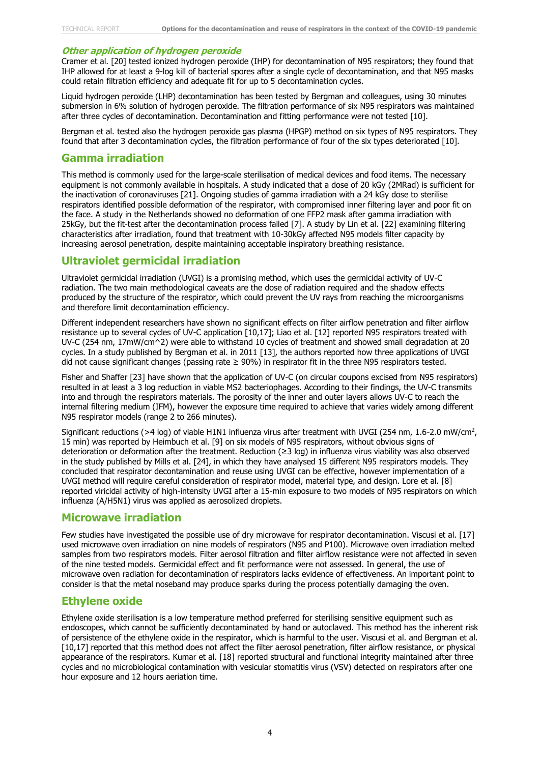#### **Other application of hydrogen peroxide**

Cramer et al. [20] tested ionized hydrogen peroxide (IHP) for decontamination of N95 respirators; they found that IHP allowed for at least a 9-log kill of bacterial spores after a single cycle of decontamination, and that N95 masks could retain filtration efficiency and adequate fit for up to 5 decontamination cycles.

Liquid hydrogen peroxide (LHP) decontamination has been tested by Bergman and colleagues, using 30 minutes submersion in 6% solution of hydrogen peroxide. The filtration performance of six N95 respirators was maintained after three cycles of decontamination. Decontamination and fitting performance were not tested [10].

Bergman et al. tested also the hydrogen peroxide gas plasma (HPGP) method on six types of N95 respirators. They found that after 3 decontamination cycles, the filtration performance of four of the six types deteriorated [10].

#### **Gamma irradiation**

This method is commonly used for the large-scale sterilisation of medical devices and food items. The necessary equipment is not commonly available in hospitals. A study indicated that a dose of 20 kGy (2MRad) is sufficient for the inactivation of coronaviruses [21]. Ongoing studies of gamma irradiation with a 24 kGy dose to sterilise respirators identified possible deformation of the respirator, with compromised inner filtering layer and poor fit on the face. A study in the Netherlands showed no deformation of one FFP2 mask after gamma irradiation with 25kGy, but the fit-test after the decontamination process failed [7]. A study by Lin et al. [22] examining filtering characteristics after irradiation, found that treatment with 10-30kGy affected N95 models filter capacity by increasing aerosol penetration, despite maintaining acceptable inspiratory breathing resistance.

#### **Ultraviolet germicidal irradiation**

Ultraviolet germicidal irradiation (UVGI) is a promising method, which uses the germicidal activity of UV-C radiation. The two main methodological caveats are the dose of radiation required and the shadow effects produced by the structure of the respirator, which could prevent the UV rays from reaching the microorganisms and therefore limit decontamination efficiency.

Different independent researchers have shown no significant effects on filter airflow penetration and filter airflow resistance up to several cycles of UV-C application [10,17]; Liao et al. [12] reported N95 respirators treated with UV-C (254 nm, 17mW/cm^2) were able to withstand 10 cycles of treatment and showed small degradation at 20 cycles. In a study published by Bergman et al. in 2011 [13], the authors reported how three applications of UVGI did not cause significant changes (passing rate ≥ 90%) in respirator fit in the three N95 respirators tested.

Fisher and Shaffer [23] have shown that the application of UV-C (on circular coupons excised from N95 respirators) resulted in at least a 3 log reduction in viable MS2 bacteriophages. According to their findings, the UV‐C transmits into and through the respirators materials. The porosity of the inner and outer layers allows UV‐C to reach the internal filtering medium (IFM), however the exposure time required to achieve that varies widely among different N95 respirator models (range 2 to 266 minutes).

Significant reductions (>4 log) of viable H1N1 influenza virus after treatment with UVGI (254 nm, 1.6-2.0 mW/cm<sup>2</sup>, 15 min) was reported by Heimbuch et al. [9] on six models of N95 respirators, without obvious signs of deterioration or deformation after the treatment. Reduction (≥3 log) in influenza virus viability was also observed in the study published by Mills et al. [24], in which they have analysed 15 different N95 respirators models. They concluded that respirator decontamination and reuse using UVGI can be effective, however implementation of a UVGI method will require careful consideration of respirator model, material type, and design. Lore et al. [8] reported viricidal activity of high-intensity UVGI after a 15-min exposure to two models of N95 respirators on which influenza (A/H5N1) virus was applied as aerosolized droplets.

#### **Microwave irradiation**

Few studies have investigated the possible use of dry microwave for respirator decontamination. Viscusi et al. [17] used microwave oven irradiation on nine models of respirators (N95 and P100). Microwave oven irradiation melted samples from two respirators models. Filter aerosol filtration and filter airflow resistance were not affected in seven of the nine tested models. Germicidal effect and fit performance were not assessed. In general, the use of microwave oven radiation for decontamination of respirators lacks evidence of effectiveness. An important point to consider is that the metal noseband may produce sparks during the process potentially damaging the oven.

#### **Ethylene oxide**

Ethylene oxide sterilisation is a low temperature method preferred for sterilising sensitive equipment such as endoscopes, which cannot be sufficiently decontaminated by hand or autoclaved. This method has the inherent risk of persistence of the ethylene oxide in the respirator, which is harmful to the user. Viscusi et al. and Bergman et al. [10,17] reported that this method does not affect the filter aerosol penetration, filter airflow resistance, or physical appearance of the respirators. Kumar et al. [18] reported structural and functional integrity maintained after three cycles and no microbiological contamination with vesicular stomatitis virus (VSV) detected on respirators after one hour exposure and 12 hours aeriation time.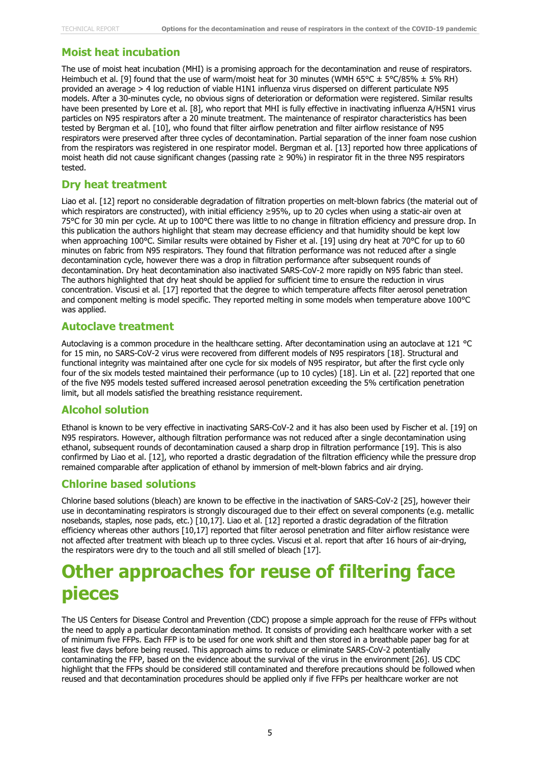#### **Moist heat incubation**

The use of moist heat incubation (MHI) is a promising approach for the decontamination and reuse of respirators. Heimbuch et al. [9] found that the use of warm/moist heat for 30 minutes (WMH 65°C  $\pm$  5°C/85%  $\pm$  5% RH) provided an average > 4 log reduction of viable H1N1 influenza virus dispersed on different particulate N95 models. After a 30-minutes cycle, no obvious signs of deterioration or deformation were registered. Similar results have been presented by Lore et al. [8], who report that MHI is fully effective in inactivating influenza A/H5N1 virus particles on N95 respirators after a 20 minute treatment. The maintenance of respirator characteristics has been tested by Bergman et al. [10], who found that filter airflow penetration and filter airflow resistance of N95 respirators were preserved after three cycles of decontamination. Partial separation of the inner foam nose cushion from the respirators was registered in one respirator model. Bergman et al. [13] reported how three applications of moist heath did not cause significant changes (passing rate ≥ 90%) in respirator fit in the three N95 respirators tested.

#### **Dry heat treatment**

Liao et al. [12] report no considerable degradation of filtration properties on melt-blown fabrics (the material out of which respirators are constructed), with initial efficiency ≥95%, up to 20 cycles when using a static-air oven at 75°C for 30 min per cycle. At up to 100°C there was little to no change in filtration efficiency and pressure drop. In this publication the authors highlight that steam may decrease efficiency and that humidity should be kept low when approaching 100°C. Similar results were obtained by Fisher et al. [19] using dry heat at 70°C for up to 60 minutes on fabric from N95 respirators. They found that filtration performance was not reduced after a single decontamination cycle, however there was a drop in filtration performance after subsequent rounds of decontamination. Dry heat decontamination also inactivated SARS-CoV-2 more rapidly on N95 fabric than steel. The authors highlighted that dry heat should be applied for sufficient time to ensure the reduction in virus concentration. Viscusi et al. [17] reported that the degree to which temperature affects filter aerosol penetration and component melting is model specific. They reported melting in some models when temperature above 100°C was applied.

#### **Autoclave treatment**

Autoclaving is a common procedure in the healthcare setting. After decontamination using an autoclave at 121 °C for 15 min, no SARS-CoV-2 virus were recovered from different models of N95 respirators [18]. Structural and functional integrity was maintained after one cycle for six models of N95 respirator, but after the first cycle only four of the six models tested maintained their performance (up to 10 cycles) [18]. Lin et al. [22] reported that one of the five N95 models tested suffered increased aerosol penetration exceeding the 5% certification penetration limit, but all models satisfied the breathing resistance requirement.

#### **Alcohol solution**

Ethanol is known to be very effective in inactivating SARS-CoV-2 and it has also been used by Fischer et al. [19] on N95 respirators. However, although filtration performance was not reduced after a single decontamination using ethanol, subsequent rounds of decontamination caused a sharp drop in filtration performance [19]. This is also confirmed by Liao et al. [12], who reported a drastic degradation of the filtration efficiency while the pressure drop remained comparable after application of ethanol by immersion of melt-blown fabrics and air drying.

#### **Chlorine based solutions**

Chlorine based solutions (bleach) are known to be effective in the inactivation of SARS-CoV-2 [25], however their use in decontaminating respirators is strongly discouraged due to their effect on several components (e.g. metallic nosebands, staples, nose pads, etc.) [10,17]. Liao et al. [12] reported a drastic degradation of the filtration efficiency whereas other authors [10,17] reported that filter aerosol penetration and filter airflow resistance were not affected after treatment with bleach up to three cycles. Viscusi et al. report that after 16 hours of air-drying, the respirators were dry to the touch and all still smelled of bleach [17].

### **Other approaches for reuse of filtering face pieces**

The US Centers for Disease Control and Prevention (CDC) propose a simple approach for the reuse of FFPs without the need to apply a particular decontamination method. It consists of providing each healthcare worker with a set of minimum five FFPs. Each FFP is to be used for one work shift and then stored in a breathable paper bag for at least five days before being reused. This approach aims to reduce or eliminate SARS-CoV-2 potentially contaminating the FFP, based on the evidence about the survival of the virus in the environment [26]. US CDC highlight that the FFPs should be considered still contaminated and therefore precautions should be followed when reused and that decontamination procedures should be applied only if five FFPs per healthcare worker are not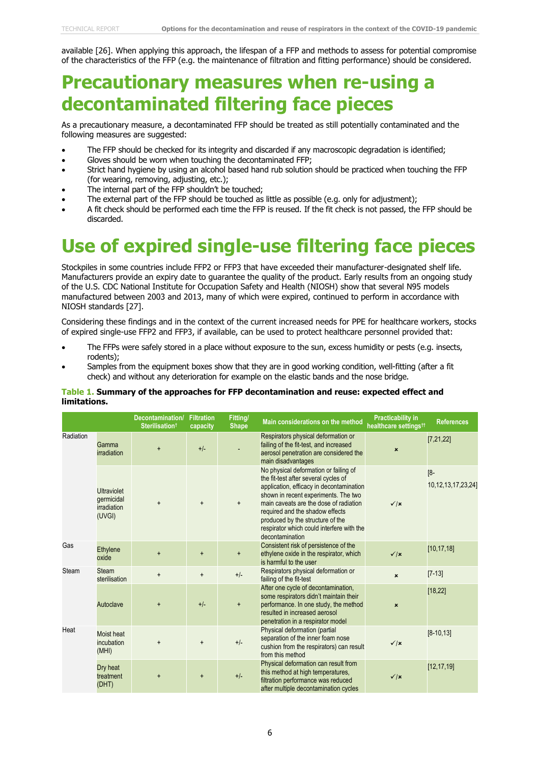available [26]. When applying this approach, the lifespan of a FFP and methods to assess for potential compromise of the characteristics of the FFP (e.g. the maintenance of filtration and fitting performance) should be considered.

### **Precautionary measures when re-using a decontaminated filtering face pieces**

As a precautionary measure, a decontaminated FFP should be treated as still potentially contaminated and the following measures are suggested:

- The FFP should be checked for its integrity and discarded if any macroscopic degradation is identified;
- Gloves should be worn when touching the decontaminated FFP;
- Strict hand hygiene by using an alcohol based hand rub solution should be practiced when touching the FFP (for wearing, removing, adjusting, etc.);
- The internal part of the FFP shouldn't be touched;
- The external part of the FFP should be touched as little as possible (e.g. only for adjustment);
- A fit check should be performed each time the FFP is reused. If the fit check is not passed, the FFP should be discarded.

### **Use of expired single-use filtering face pieces**

Stockpiles in some countries include FFP2 or FFP3 that have exceeded their manufacturer-designated shelf life. Manufacturers provide an expiry date to guarantee the quality of the product. Early results from an ongoing study of the U.S. CDC National Institute for Occupation Safety and Health (NIOSH) show that several N95 models manufactured between 2003 and 2013, many of which were expired, continued to perform in accordance with NIOSH standards [27].

Considering these findings and in the context of the current increased needs for PPE for healthcare workers, stocks of expired single-use FFP2 and FFP3, if available, can be used to protect healthcare personnel provided that:

- The FFPs were safely stored in a place without exposure to the sun, excess humidity or pests (e.g. insects, rodents);
- Samples from the equipment boxes show that they are in good working condition, well-fitting (after a fit check) and without any deterioration for example on the elastic bands and the nose bridge.

#### **Table 1. Summary of the approaches for FFP decontamination and reuse: expected effect and limitations.**

|           |                                                           | Decontamination/<br>Sterilisation <sup>t</sup> | <b>Filtration</b><br>capacity | <b>Fitting/</b><br><b>Shape</b> | Main considerations on the method                                                                                                                                                                                                                                                                                                                  | <b>Practicability in</b><br>healthcare settings <sup>tt</sup> | <b>References</b>                 |
|-----------|-----------------------------------------------------------|------------------------------------------------|-------------------------------|---------------------------------|----------------------------------------------------------------------------------------------------------------------------------------------------------------------------------------------------------------------------------------------------------------------------------------------------------------------------------------------------|---------------------------------------------------------------|-----------------------------------|
| Radiation | Gamma<br><i>irradiation</i>                               | $\ddot{}$                                      | $+/-$                         |                                 | Respirators physical deformation or<br>failing of the fit-test, and increased<br>aerosol penetration are considered the<br>main disadvantages                                                                                                                                                                                                      | $\boldsymbol{\mathsf{x}}$                                     | [7, 21, 22]                       |
|           | <b>Ultraviolet</b><br>qermicidal<br>irradiation<br>(UVGI) | $\ddot{}$                                      | $\ddot{}$                     | $\ddot{}$                       | No physical deformation or failing of<br>the fit-test after several cycles of<br>application, efficacy in decontamination<br>shown in recent experiments. The two<br>main caveats are the dose of radiation<br>required and the shadow effects<br>produced by the structure of the<br>respirator which could interfere with the<br>decontamination | $\sqrt{x}$                                                    | $[8 -$<br>10, 12, 13, 17, 23, 24] |
| Gas       | Ethylene<br>oxide                                         | $\ddot{}$                                      | $\ddot{}$                     | $+$                             | Consistent risk of persistence of the<br>ethylene oxide in the respirator, which<br>is harmful to the user                                                                                                                                                                                                                                         | $\sqrt{\mathbf{x}}$                                           | [10, 17, 18]                      |
| Steam     | <b>Steam</b><br>sterilisation                             | $\ddot{}$                                      | $\ddot{}$                     | $+/-$                           | Respirators physical deformation or<br>failing of the fit-test                                                                                                                                                                                                                                                                                     | $\boldsymbol{\mathsf{x}}$                                     | $[7-13]$                          |
|           | Autoclave                                                 |                                                | $+/-$                         | $\ddot{}$                       | After one cycle of decontamination,<br>some respirators didn't maintain their<br>performance. In one study, the method<br>resulted in increased aerosol<br>penetration in a respirator model                                                                                                                                                       | $\boldsymbol{\mathsf{x}}$                                     | [18, 22]                          |
| Heat      | Moist heat<br>incubation<br>(MHI)                         | $\ddot{}$                                      | $\ddot{}$                     | $+/-$                           | Physical deformation (partial<br>separation of the inner foam nose<br>cushion from the respirators) can result<br>from this method                                                                                                                                                                                                                 | $\checkmark$  x                                               | $[8-10, 13]$                      |
|           | Dry heat<br>treatment<br>(DHT)                            | $\ddot{}$                                      |                               | $+/-$                           | Physical deformation can result from<br>this method at high temperatures,<br>filtration performance was reduced<br>after multiple decontamination cycles                                                                                                                                                                                           | $\sqrt{x}$                                                    | [12, 17, 19]                      |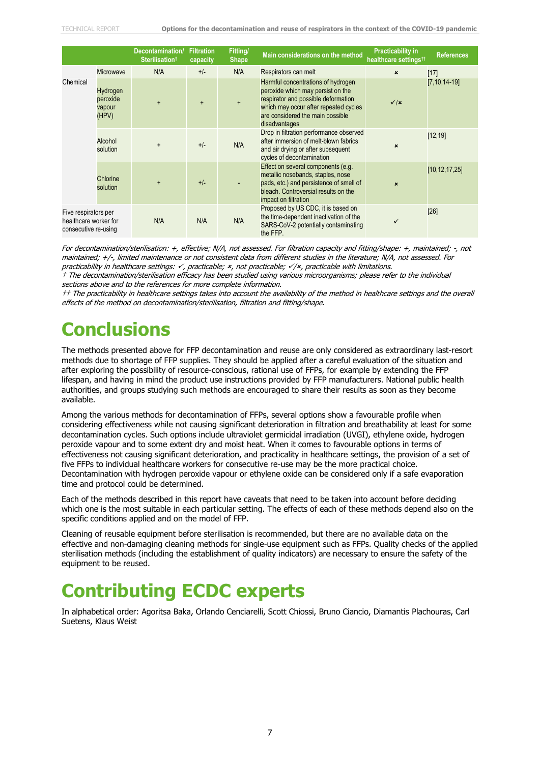|                                                                       |                                         | Decontamination/<br><b>Sterilisationt</b> | <b>Filtration</b><br>capacity | Fitting/<br><b>Shape</b> | Main considerations on the method                                                                                                                                                                            | <b>Practicability in</b><br>healthcare settings <sup>tt</sup> | <b>References</b>  |
|-----------------------------------------------------------------------|-----------------------------------------|-------------------------------------------|-------------------------------|--------------------------|--------------------------------------------------------------------------------------------------------------------------------------------------------------------------------------------------------------|---------------------------------------------------------------|--------------------|
|                                                                       | Microwave                               | N/A                                       | $+/-$                         | N/A                      | Respirators can melt                                                                                                                                                                                         | $\pmb{\times}$                                                | $[17]$             |
| Chemical                                                              | Hydrogen<br>peroxide<br>vapour<br>(HPV) | $\ddot{}$                                 | $\ddot{}$                     | $\ddot{}$                | Harmful concentrations of hydrogen<br>peroxide which may persist on the<br>respirator and possible deformation<br>which may occur after repeated cycles<br>are considered the main possible<br>disadvantages | $\sqrt{x}$                                                    | $[7, 10, 14 - 19]$ |
|                                                                       | Alcohol<br>solution                     | $\ddot{}$                                 | $+/-$                         | N/A                      | Drop in filtration performance observed<br>after immersion of melt-blown fabrics<br>and air drying or after subsequent<br>cycles of decontamination                                                          | ×                                                             | [12, 19]           |
|                                                                       | Chlorine<br>solution                    | $\ddot{}$                                 | $+/-$                         |                          | Effect on several components (e.g.<br>metallic nosebands, staples, nose<br>pads, etc.) and persistence of smell of<br>bleach. Controversial results on the<br>impact on filtration                           | $\mathbf{x}$                                                  | [10, 12, 17, 25]   |
| Five respirators per<br>healthcare worker for<br>consecutive re-using |                                         | N/A                                       | N/A                           | N/A                      | Proposed by US CDC, it is based on<br>the time-dependent inactivation of the<br>SARS-CoV-2 potentially contaminating<br>the FFP.                                                                             |                                                               | [26]               |

For decontamination/sterilisation: +, effective; N/A, not assessed. For filtration capacity and fitting/shape: +, maintained; -, not maintained; +/-, limited maintenance or not consistent data from different studies in the literature; N/A, not assessed. For practicability in healthcare settings:  $\checkmark$ , practicable;  $\checkmark$ , not practicable;  $\checkmark$ / $\checkmark$ , practicable with limitations.

† The decontamination/sterilisation efficacy has been studied using various microorganisms; please refer to the individual sections above and to the references for more complete information.

†† The practicability in healthcare settings takes into account the availability of the method in healthcare settings and the overall effects of the method on decontamination/sterilisation, filtration and fitting/shape.

### **Conclusions**

The methods presented above for FFP decontamination and reuse are only considered as extraordinary last-resort methods due to shortage of FFP supplies. They should be applied after a careful evaluation of the situation and after exploring the possibility of resource-conscious, rational use of FFPs, for example by extending the FFP lifespan, and having in mind the product use instructions provided by FFP manufacturers. National public health authorities, and groups studying such methods are encouraged to share their results as soon as they become available.

Among the various methods for decontamination of FFPs, several options show a favourable profile when considering effectiveness while not causing significant deterioration in filtration and breathability at least for some decontamination cycles. Such options include ultraviolet germicidal irradiation (UVGI), ethylene oxide, hydrogen peroxide vapour and to some extent dry and moist heat. When it comes to favourable options in terms of effectiveness not causing significant deterioration, and practicality in healthcare settings, the provision of a set of five FFPs to individual healthcare workers for consecutive re-use may be the more practical choice. Decontamination with hydrogen peroxide vapour or ethylene oxide can be considered only if a safe evaporation time and protocol could be determined.

Each of the methods described in this report have caveats that need to be taken into account before deciding which one is the most suitable in each particular setting. The effects of each of these methods depend also on the specific conditions applied and on the model of FFP.

Cleaning of reusable equipment before sterilisation is recommended, but there are no available data on the effective and non-damaging cleaning methods for single-use equipment such as FFPs. Quality checks of the applied sterilisation methods (including the establishment of quality indicators) are necessary to ensure the safety of the equipment to be reused.

### **Contributing ECDC experts**

In alphabetical order: Agoritsa Baka, Orlando Cenciarelli, Scott Chiossi, Bruno Ciancio, Diamantis Plachouras, Carl Suetens, Klaus Weist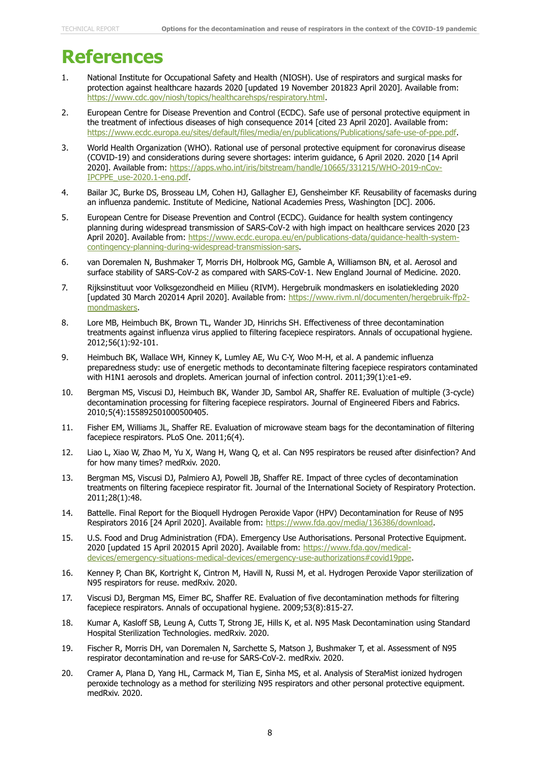### **References**

- 1. National Institute for Occupational Safety and Health (NIOSH). Use of respirators and surgical masks for protection against healthcare hazards 2020 [updated 19 November 201823 April 2020]. Available from: [https://www.cdc.gov/niosh/topics/healthcarehsps/respiratory.html.](https://www.cdc.gov/niosh/topics/healthcarehsps/respiratory.html)
- 2. European Centre for Disease Prevention and Control (ECDC). Safe use of personal protective equipment in the treatment of infectious diseases of high consequence 2014 [cited 23 April 2020]. Available from: [https://www.ecdc.europa.eu/sites/default/files/media/en/publications/Publications/safe-use-of-ppe.pdf.](https://www.ecdc.europa.eu/sites/default/files/media/en/publications/Publications/safe-use-of-ppe.pdf)
- 3. World Health Organization (WHO). Rational use of personal protective equipment for coronavirus disease (COVID-19) and considerations during severe shortages: interim guidance, 6 April 2020. 2020 [14 April 2020]. Available from: [https://apps.who.int/iris/bitstream/handle/10665/331215/WHO-2019-nCov-](https://apps.who.int/iris/bitstream/handle/10665/331215/WHO-2019-nCov-IPCPPE_use-2020.1-eng.pdf)[IPCPPE\\_use-2020.1-eng.pdf.](https://apps.who.int/iris/bitstream/handle/10665/331215/WHO-2019-nCov-IPCPPE_use-2020.1-eng.pdf)
- 4. Bailar JC, Burke DS, Brosseau LM, Cohen HJ, Gallagher EJ, Gensheimber KF. Reusability of facemasks during an influenza pandemic. Institute of Medicine, National Academies Press, Washington [DC]. 2006.
- 5. European Centre for Disease Prevention and Control (ECDC). Guidance for health system contingency planning during widespread transmission of SARS-CoV-2 with high impact on healthcare services 2020 [23 April 2020]. Available from: [https://www.ecdc.europa.eu/en/publications-data/guidance-health-system](https://www.ecdc.europa.eu/en/publications-data/guidance-health-system-contingency-planning-during-widespread-transmission-sars)[contingency-planning-during-widespread-transmission-sars.](https://www.ecdc.europa.eu/en/publications-data/guidance-health-system-contingency-planning-during-widespread-transmission-sars)
- 6. van Doremalen N, Bushmaker T, Morris DH, Holbrook MG, Gamble A, Williamson BN, et al. Aerosol and surface stability of SARS-CoV-2 as compared with SARS-CoV-1. New England Journal of Medicine. 2020.
- 7. Rijksinstituut voor Volksgezondheid en Milieu (RIVM). Hergebruik mondmaskers en isolatiekleding 2020 [updated 30 March 202014 April 2020]. Available from: [https://www.rivm.nl/documenten/hergebruik-ffp2](https://www.rivm.nl/documenten/hergebruik-ffp2-mondmaskers) [mondmaskers.](https://www.rivm.nl/documenten/hergebruik-ffp2-mondmaskers)
- 8. Lore MB, Heimbuch BK, Brown TL, Wander JD, Hinrichs SH. Effectiveness of three decontamination treatments against influenza virus applied to filtering facepiece respirators. Annals of occupational hygiene. 2012;56(1):92-101.
- 9. Heimbuch BK, Wallace WH, Kinney K, Lumley AE, Wu C-Y, Woo M-H, et al. A pandemic influenza preparedness study: use of energetic methods to decontaminate filtering facepiece respirators contaminated with H1N1 aerosols and droplets. American journal of infection control. 2011;39(1):e1-e9.
- 10. Bergman MS, Viscusi DJ, Heimbuch BK, Wander JD, Sambol AR, Shaffer RE. Evaluation of multiple (3-cycle) decontamination processing for filtering facepiece respirators. Journal of Engineered Fibers and Fabrics. 2010;5(4):155892501000500405.
- 11. Fisher EM, Williams JL, Shaffer RE. Evaluation of microwave steam bags for the decontamination of filtering facepiece respirators. PLoS One. 2011;6(4).
- 12. Liao L, Xiao W, Zhao M, Yu X, Wang H, Wang Q, et al. Can N95 respirators be reused after disinfection? And for how many times? medRxiv. 2020.
- 13. Bergman MS, Viscusi DJ, Palmiero AJ, Powell JB, Shaffer RE. Impact of three cycles of decontamination treatments on filtering facepiece respirator fit. Journal of the International Society of Respiratory Protection. 2011;28(1):48.
- 14. Battelle. Final Report for the Bioquell Hydrogen Peroxide Vapor (HPV) Decontamination for Reuse of N95 Respirators 2016 [24 April 2020]. Available from: [https://www.fda.gov/media/136386/download.](https://www.fda.gov/media/136386/download)
- 15. U.S. Food and Drug Administration (FDA). Emergency Use Authorisations. Personal Protective Equipment. 2020 [updated 15 April 202015 April 2020]. Available from: [https://www.fda.gov/medical](https://www.fda.gov/medical-devices/emergency-situations-medical-devices/emergency-use-authorizations#covid19ppe)[devices/emergency-situations-medical-devices/emergency-use-authorizations#covid19ppe.](https://www.fda.gov/medical-devices/emergency-situations-medical-devices/emergency-use-authorizations#covid19ppe)
- 16. Kenney P, Chan BK, Kortright K, Cintron M, Havill N, Russi M, et al. Hydrogen Peroxide Vapor sterilization of N95 respirators for reuse. medRxiv. 2020.
- 17. Viscusi DJ, Bergman MS, Eimer BC, Shaffer RE. Evaluation of five decontamination methods for filtering facepiece respirators. Annals of occupational hygiene. 2009;53(8):815-27.
- 18. Kumar A, Kasloff SB, Leung A, Cutts T, Strong JE, Hills K, et al. N95 Mask Decontamination using Standard Hospital Sterilization Technologies. medRxiv. 2020.
- 19. Fischer R, Morris DH, van Doremalen N, Sarchette S, Matson J, Bushmaker T, et al. Assessment of N95 respirator decontamination and re-use for SARS-CoV-2. medRxiv. 2020.
- 20. Cramer A, Plana D, Yang HL, Carmack M, Tian E, Sinha MS, et al. Analysis of SteraMist ionized hydrogen peroxide technology as a method for sterilizing N95 respirators and other personal protective equipment. medRxiv. 2020.